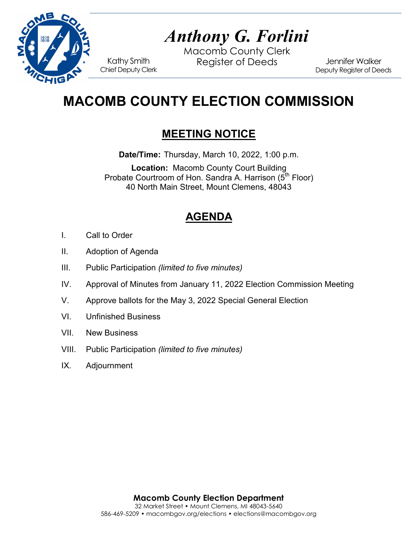

# *Anthony G. Forlini*

Macomb County Clerk Kathy Smith Register of Deeds<br>Chief Deputy Clerk

Jennifer Walker Deputy Register of Deeds

## **MACOMB COUNTY ELECTION COMMISSION**

## **MEETING NOTICE**

**Date/Time:** Thursday, March 10, 2022, 1:00 p.m.

**Location:** Macomb County Court Building Probate Courtroom of Hon. Sandra A. Harrison (5<sup>th</sup> Floor) 40 North Main Street, Mount Clemens, 48043

## **AGENDA**

- I. Call to Order
- II. Adoption of Agenda
- III. Public Participation *(limited to five minutes)*
- IV. Approval of Minutes from January 11, 2022 Election Commission Meeting
- V. Approve ballots for the May 3, 2022 Special General Election
- VI. Unfinished Business
- VII. New Business
- VIII. Public Participation *(limited to five minutes)*
- IX. Adjournment